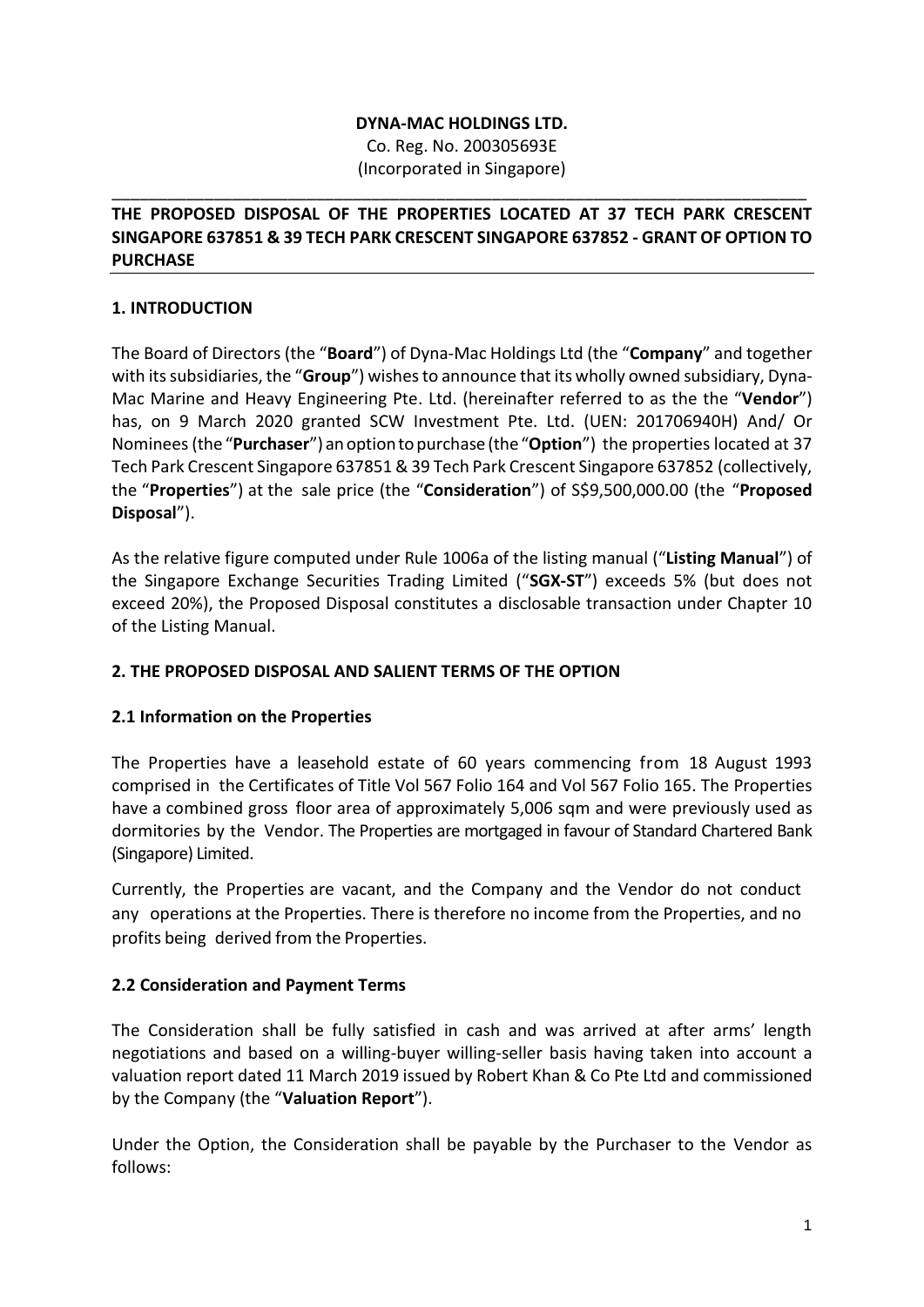#### **DYNA-MAC HOLDINGS LTD.**

Co. Reg. No. 200305693E (Incorporated in Singapore)

\_\_\_\_\_\_\_\_\_\_\_\_\_\_\_\_\_\_\_\_\_\_\_\_\_\_\_\_\_\_\_\_\_\_\_\_\_\_\_\_\_\_\_\_\_\_\_\_\_\_\_\_\_\_\_\_\_\_\_\_\_\_\_\_\_\_\_\_\_\_\_\_\_\_\_

### **THE PROPOSED DISPOSAL OF THE PROPERTIES LOCATED AT 37 TECH PARK CRESCENT SINGAPORE 637851 & 39 TECH PARK CRESCENT SINGAPORE 637852 - GRANT OF OPTION TO PURCHASE**

## **1. INTRODUCTION**

The Board of Directors (the "**Board**") of Dyna-Mac Holdings Ltd (the "**Company**" and together with its subsidiaries, the "**Group**") wishes to announce that its wholly owned subsidiary, Dyna-Mac Marine and Heavy Engineering Pte. Ltd. (hereinafter referred to as the the "**Vendor**") has, on 9 March 2020 granted SCW Investment Pte. Ltd. (UEN: 201706940H) And/ Or Nominees (the"**Purchaser**") anoptiontopurchase (the"**Option**") the properties located at 37 Tech Park Crescent Singapore 637851 & 39 Tech Park Crescent Singapore 637852 (collectively, the "**Properties**") at the sale price (the "**Consideration**") of S\$9,500,000.00 (the "**Proposed Disposal**").

As the relative figure computed under Rule 1006a of the listing manual ("**Listing Manual**") of the Singapore Exchange Securities Trading Limited ("**SGX-ST**") exceeds 5% (but does not exceed 20%), the Proposed Disposal constitutes a disclosable transaction under Chapter 10 of the Listing Manual.

### **2. THE PROPOSED DISPOSAL AND SALIENT TERMS OF THE OPTION**

### **2.1 Information on the Properties**

The Properties have a leasehold estate of 60 years commencing from 18 August 1993 comprised in the Certificates of Title Vol 567 Folio 164 and Vol 567 Folio 165. The Properties have a combined gross floor area of approximately 5,006 sqm and were previously used as dormitories by the Vendor. The Properties are mortgaged in favour of Standard Chartered Bank (Singapore) Limited.

Currently, the Properties are vacant, and the Company and the Vendor do not conduct any operations at the Properties. There is therefore no income from the Properties, and no profits being derived from the Properties.

### **2.2 Consideration and Payment Terms**

The Consideration shall be fully satisfied in cash and was arrived at after arms' length negotiations and based on a willing-buyer willing-seller basis having taken into account a valuation report dated 11 March 2019 issued by Robert Khan & Co Pte Ltd and commissioned by the Company (the "**Valuation Report**").

Under the Option, the Consideration shall be payable by the Purchaser to the Vendor as follows: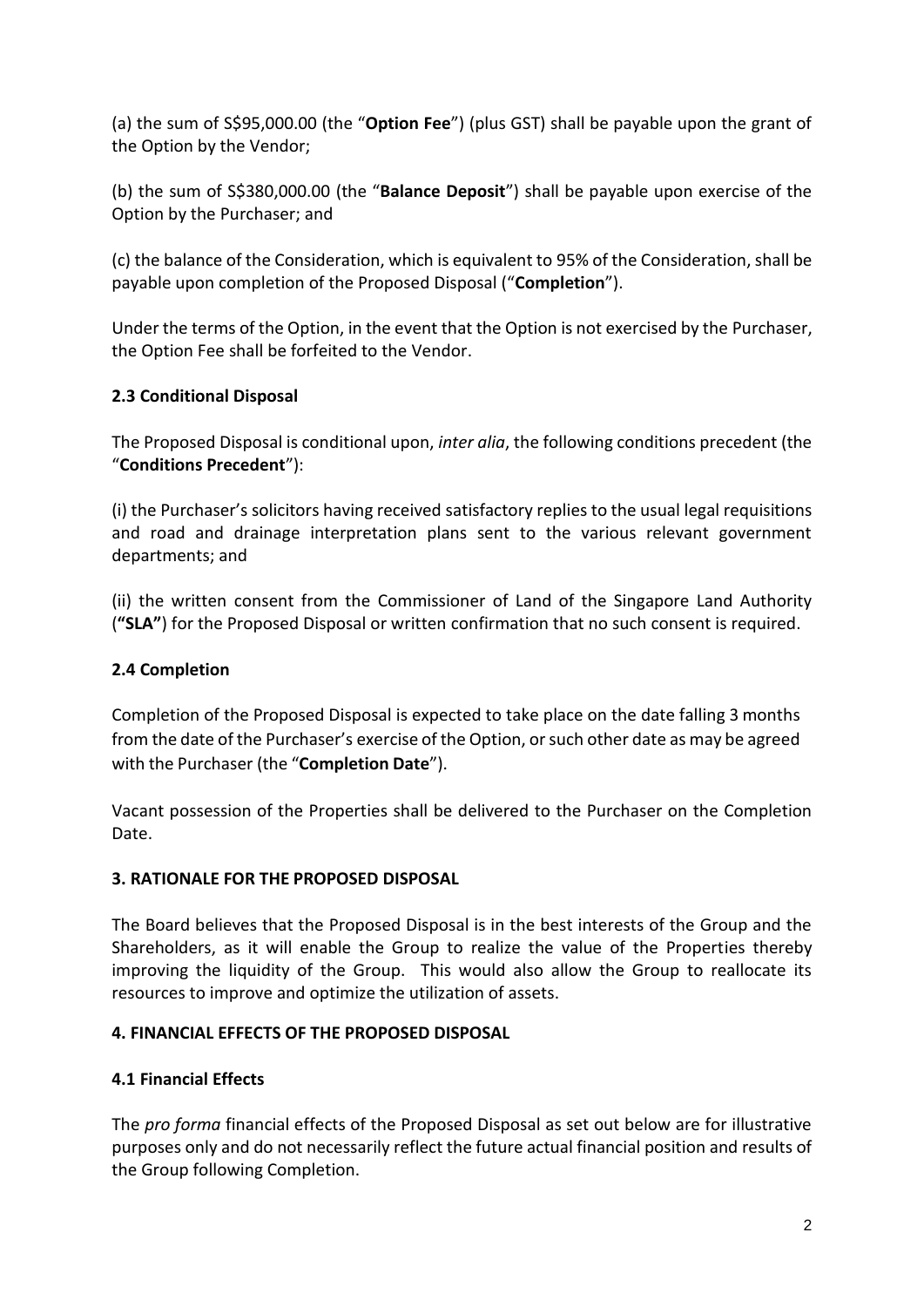(a) the sum of S\$95,000.00 (the "**Option Fee**") (plus GST) shall be payable upon the grant of the Option by the Vendor;

(b) the sum of S\$380,000.00 (the "**Balance Deposit**") shall be payable upon exercise of the Option by the Purchaser; and

(c) the balance of the Consideration, which is equivalent to 95% of the Consideration, shall be payable upon completion of the Proposed Disposal ("**Completion**").

Under the terms of the Option, in the event that the Option is not exercised by the Purchaser, the Option Fee shall be forfeited to the Vendor.

# **2.3 Conditional Disposal**

The Proposed Disposal is conditional upon, *inter alia*, the following conditions precedent (the "**Conditions Precedent**"):

(i) the Purchaser's solicitors having received satisfactory replies to the usual legal requisitions and road and drainage interpretation plans sent to the various relevant government departments; and

(ii) the written consent from the Commissioner of Land of the Singapore Land Authority (**"SLA"**) for the Proposed Disposal or written confirmation that no such consent is required.

### **2.4 Completion**

Completion of the Proposed Disposal is expected to take place on the date falling 3 months from the date of the Purchaser's exercise of the Option, or such other date as may be agreed with the Purchaser (the "**Completion Date**").

Vacant possession of the Properties shall be delivered to the Purchaser on the Completion Date.

### **3. RATIONALE FOR THE PROPOSED DISPOSAL**

The Board believes that the Proposed Disposal is in the best interests of the Group and the Shareholders, as it will enable the Group to realize the value of the Properties thereby improving the liquidity of the Group. This would also allow the Group to reallocate its resources to improve and optimize the utilization of assets.

### **4. FINANCIAL EFFECTS OF THE PROPOSED DISPOSAL**

### **4.1 Financial Effects**

The *pro forma* financial effects of the Proposed Disposal as set out below are for illustrative purposes only and do not necessarily reflect the future actual financial position and results of the Group following Completion.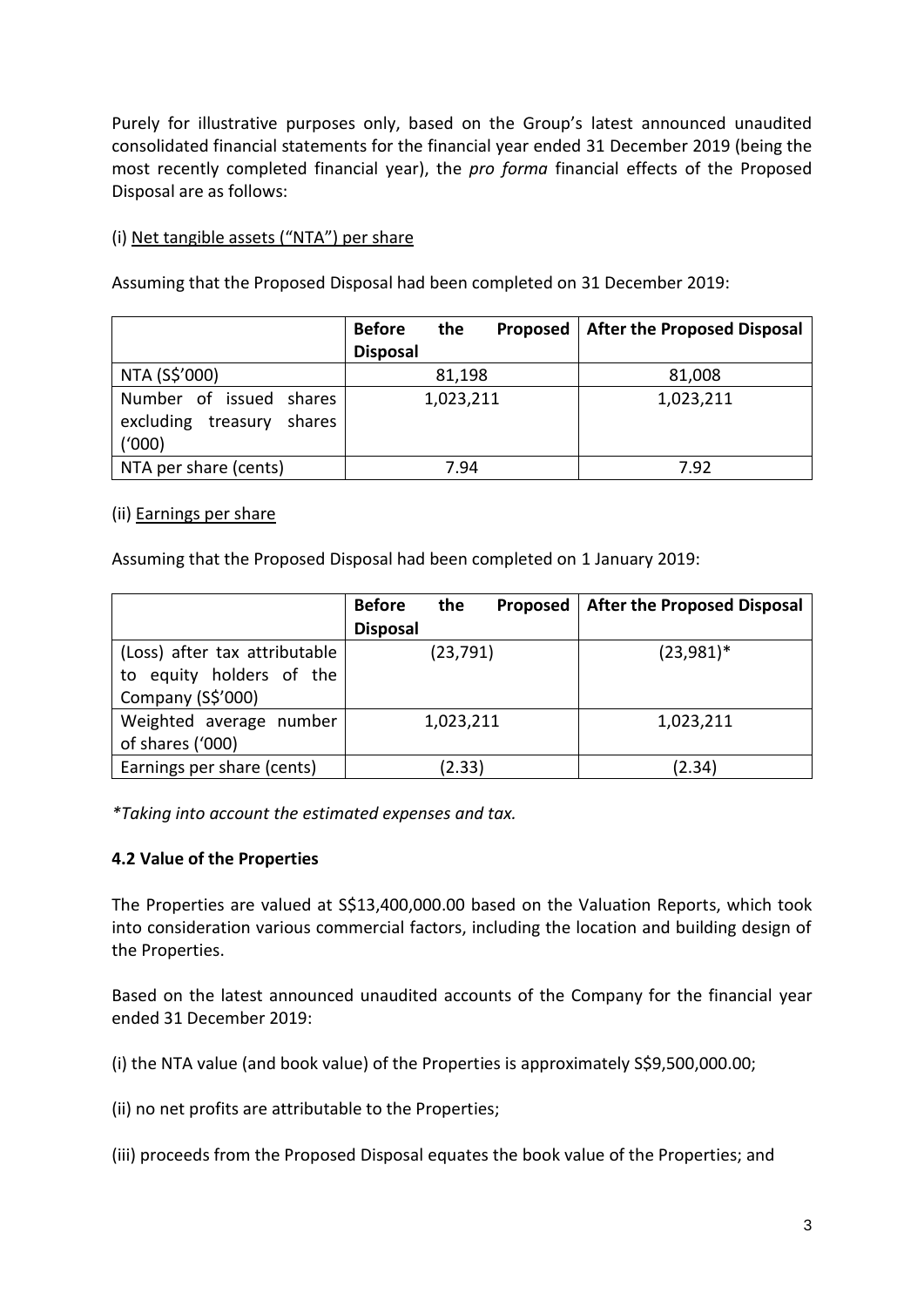Purely for illustrative purposes only, based on the Group's latest announced unaudited consolidated financial statements for the financial year ended 31 December 2019 (being the most recently completed financial year), the *pro forma* financial effects of the Proposed Disposal are as follows:

## (i) Net tangible assets ("NTA") per share

Assuming that the Proposed Disposal had been completed on 31 December 2019:

|                                           | <b>Before</b><br>the<br>Proposed | <b>After the Proposed Disposal</b> |
|-------------------------------------------|----------------------------------|------------------------------------|
|                                           | <b>Disposal</b>                  |                                    |
| NTA (S\$'000)                             | 81,198                           | 81,008                             |
| Number of issued shares                   | 1,023,211                        | 1,023,211                          |
| excluding<br>shares<br>treasury<br>(1000) |                                  |                                    |
| NTA per share (cents)                     | 7.94                             | 7.92                               |

#### (ii) Earnings per share

Assuming that the Proposed Disposal had been completed on 1 January 2019:

|                               | <b>Before</b><br>the<br>Proposed | <b>After the Proposed Disposal</b> |
|-------------------------------|----------------------------------|------------------------------------|
|                               | <b>Disposal</b>                  |                                    |
| (Loss) after tax attributable | (23, 791)                        | $(23,981)^*$                       |
| to equity holders of the      |                                  |                                    |
| Company (S\$'000)             |                                  |                                    |
| Weighted average number       | 1,023,211                        | 1,023,211                          |
| of shares ('000)              |                                  |                                    |
| Earnings per share (cents)    | (2.33)                           | (2.34)                             |

*\*Taking into account the estimated expenses and tax.*

### **4.2 Value of the Properties**

The Properties are valued at S\$13,400,000.00 based on the Valuation Reports, which took into consideration various commercial factors, including the location and building design of the Properties.

Based on the latest announced unaudited accounts of the Company for the financial year ended 31 December 2019:

(i) the NTA value (and book value) of the Properties is approximately S\$9,500,000.00;

(ii) no net profits are attributable to the Properties;

(iii) proceeds from the Proposed Disposal equates the book value of the Properties; and